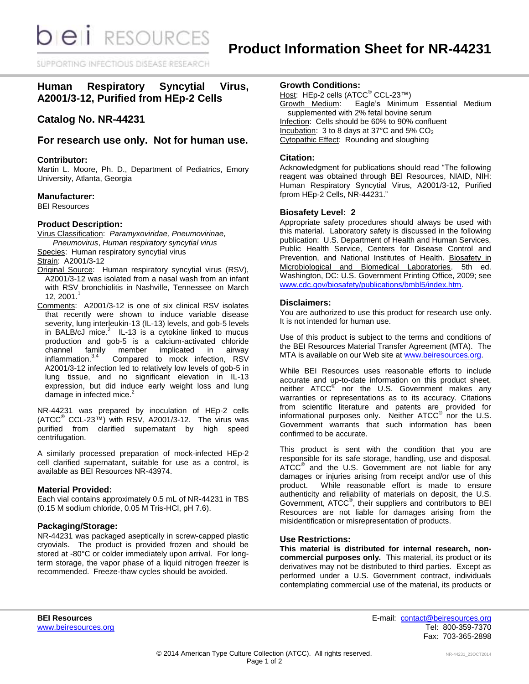SUPPORTING INFECTIOUS DISEASE RESEARD

# **Human Respiratory Syncytial Virus, A2001/3-12, Purified from HEp-2 Cells**

## **Catalog No. NR-44231**

## **For research use only. Not for human use.**

#### **Contributor:**

Martin L. Moore, Ph. D., Department of Pediatrics, Emory University, Atlanta, Georgia

#### **Manufacturer:**

BEI Resources

## **Product Description:**

Virus Classification: *Paramyxoviridae, Pneumovirinae, Pneumovirus*, *Human respiratory syncytial virus*

Species: Human respiratory syncytial virus

Strain: A2001/3-12

- Original Source: Human respiratory syncytial virus (RSV), A2001/3-12 was isolated from a nasal wash from an infant with RSV bronchiolitis in Nashville, Tennessee on March 12, 2001. 1
- Comments: A2001/3-12 is one of six clinical RSV isolates that recently were shown to induce variable disease severity, lung interleukin-13 (IL-13) levels, and gob-5 levels in BALB/cJ mice. $^2$  IL-13 is a cytokine linked to mucus production and gob-5 is a calcium-activated chloride<br>channel family member implicated in airway channel family member implicated in airway inflammation. $3,4$  Compared to mock infection, RSV A2001/3-12 infection led to relatively low levels of gob-5 in lung tissue, and no significant elevation in IL-13 expression, but did induce early weight loss and lung damage in infected mice.<sup>2</sup>

NR-44231 was prepared by inoculation of HEp-2 cells  $(ATCC<sup>®</sup> CCL-23<sup>™</sup>)$  with RSV, A2001/3-12. The virus was purified from clarified supernatant by high speed centrifugation.

A similarly processed preparation of mock-infected HEp-2 cell clarified supernatant, suitable for use as a control, is available as BEI Resources NR-43974.

## **Material Provided:**

Each vial contains approximately 0.5 mL of NR-44231 in TBS (0.15 M sodium chloride, 0.05 M Tris-HCl, pH 7.6).

## **Packaging/Storage:**

NR-44231 was packaged aseptically in screw-capped plastic cryovials. The product is provided frozen and should be stored at -80°C or colder immediately upon arrival. For longterm storage, the vapor phase of a liquid nitrogen freezer is recommended. Freeze-thaw cycles should be avoided.

### **Growth Conditions:**

<u>Host</u>: HEp-2 cells (ATCC<sup>®</sup> CCL-23™)<br>Growth Medium: Eagle's Minimu Eagle's Minimum Essential Medium supplemented with 2% fetal bovine serum Infection: Cells should be 60% to 90% confluent Incubation: 3 to 8 days at 37°C and 5% CO<sub>2</sub> Cytopathic Effect: Rounding and sloughing

### **Citation:**

Acknowledgment for publications should read "The following reagent was obtained through BEI Resources, NIAID, NIH: Human Respiratory Syncytial Virus, A2001/3-12, Purified fprom HEp-2 Cells, NR-44231."

#### **Biosafety Level: 2**

Appropriate safety procedures should always be used with this material. Laboratory safety is discussed in the following publication: U.S. Department of Health and Human Services, Public Health Service, Centers for Disease Control and Prevention, and National Institutes of Health. Biosafety in Microbiological and Biomedical Laboratories. 5th ed. Washington, DC: U.S. Government Printing Office, 2009; see [www.cdc.gov/biosafety/publications/bmbl5/index.htm.](http://www.cdc.gov/biosafety/publications/bmbl5/index.htm)

#### **Disclaimers:**

You are authorized to use this product for research use only. It is not intended for human use.

Use of this product is subject to the terms and conditions of the BEI Resources Material Transfer Agreement (MTA). The MTA is available on our Web site at [www.beiresources.org.](http://www.beiresources.org/)

While BEI Resources uses reasonable efforts to include accurate and up-to-date information on this product sheet, neither ATCC<sup>®</sup> nor the U.S. Government makes any warranties or representations as to its accuracy. Citations from scientific literature and patents are provided for informational purposes only. Neither  $ATCC^{\circledast}$  nor the U.S. Government warrants that such information has been confirmed to be accurate.

This product is sent with the condition that you are responsible for its safe storage, handling, use and disposal. ATCC<sup>®</sup> and the U.S. Government are not liable for any damages or injuries arising from receipt and/or use of this product. While reasonable effort is made to ensure authenticity and reliability of materials on deposit, the U.S. Government, ATCC® , their suppliers and contributors to BEI Resources are not liable for damages arising from the misidentification or misrepresentation of products.

## **Use Restrictions:**

**This material is distributed for internal research, noncommercial purposes only.** This material, its product or its derivatives may not be distributed to third parties. Except as performed under a U.S. Government contract, individuals contemplating commercial use of the material, its products or

**BEI Resources** E-mail: [contact@beiresources.org](mailto:contact@beiresources.org) [www.beiresources.org](http://www.beiresources.org/) **Tel: 800-359-7370** Fax: 703-365-2898